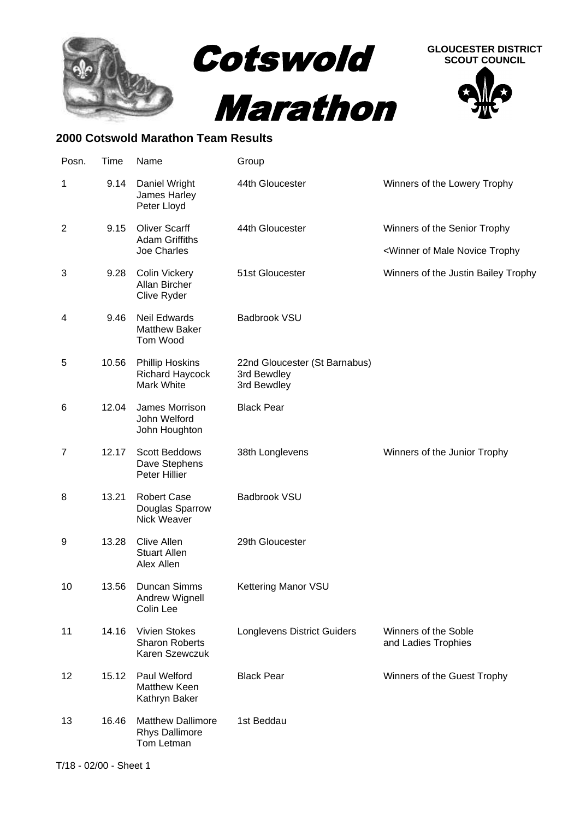





## **2000 Cotswold Marathon Team Results**

| Posn.          | Time  | Name                                                            | Group                                                       |                                                            |
|----------------|-------|-----------------------------------------------------------------|-------------------------------------------------------------|------------------------------------------------------------|
| 1              | 9.14  | Daniel Wright<br>James Harley<br>Peter Lloyd                    | 44th Gloucester                                             | Winners of the Lowery Trophy                               |
| $\overline{2}$ | 9.15  | <b>Oliver Scarff</b><br><b>Adam Griffiths</b><br>Joe Charles    | 44th Gloucester                                             | Winners of the Senior Trophy                               |
|                |       |                                                                 |                                                             | <winner male="" novice="" of="" td="" trophy<=""></winner> |
| 3              | 9.28  | <b>Colin Vickery</b><br>Allan Bircher<br>Clive Ryder            | 51st Gloucester                                             | Winners of the Justin Bailey Trophy                        |
| 4              | 9.46  | <b>Neil Edwards</b><br><b>Matthew Baker</b><br>Tom Wood         | Badbrook VSU                                                |                                                            |
| 5              | 10.56 | <b>Phillip Hoskins</b><br><b>Richard Haycock</b><br>Mark White  | 22nd Gloucester (St Barnabus)<br>3rd Bewdley<br>3rd Bewdley |                                                            |
| 6              | 12.04 | James Morrison<br>John Welford<br>John Houghton                 | <b>Black Pear</b>                                           |                                                            |
| 7              | 12.17 | <b>Scott Beddows</b><br>Dave Stephens<br>Peter Hillier          | 38th Longlevens                                             | Winners of the Junior Trophy                               |
| 8              | 13.21 | <b>Robert Case</b><br>Douglas Sparrow<br>Nick Weaver            | Badbrook VSU                                                |                                                            |
| 9              | 13.28 | Clive Allen<br><b>Stuart Allen</b><br>Alex Allen                | 29th Gloucester                                             |                                                            |
| 10             | 13.56 | Duncan Simms<br>Andrew Wignell<br>Colin Lee                     | Kettering Manor VSU                                         |                                                            |
| 11             | 14.16 | Vivien Stokes<br><b>Sharon Roberts</b><br>Karen Szewczuk        | <b>Longlevens District Guiders</b>                          | Winners of the Soble<br>and Ladies Trophies                |
| 12             | 15.12 | Paul Welford<br><b>Matthew Keen</b><br>Kathryn Baker            | <b>Black Pear</b>                                           | Winners of the Guest Trophy                                |
| 13             | 16.46 | <b>Matthew Dallimore</b><br><b>Rhys Dallimore</b><br>Tom Letman | 1st Beddau                                                  |                                                            |
|                |       |                                                                 |                                                             |                                                            |